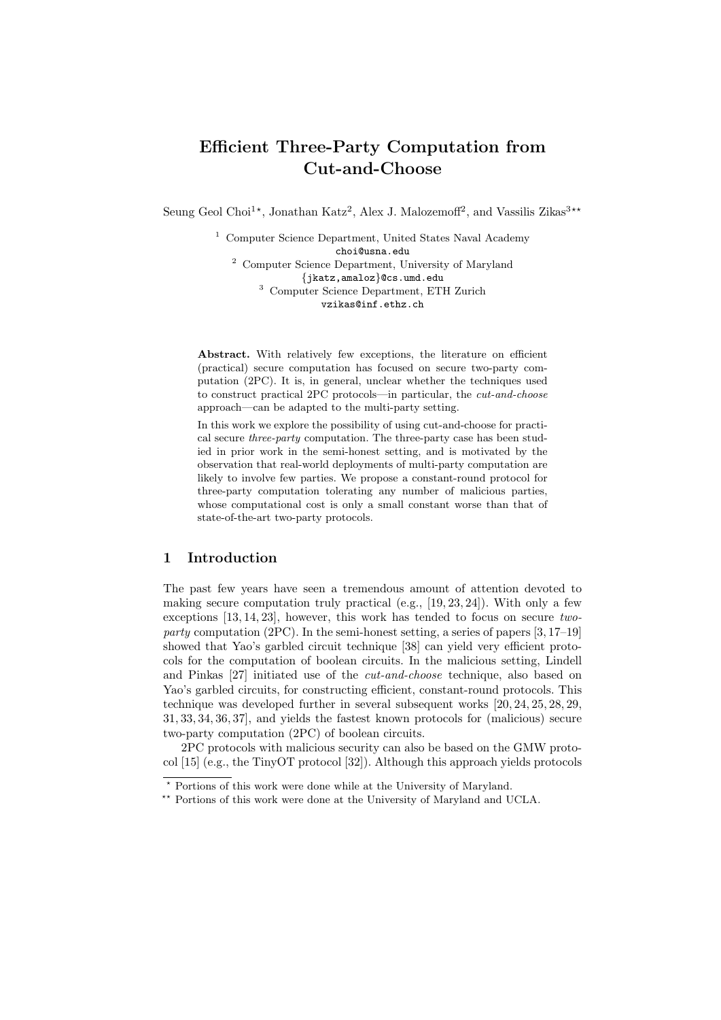# Efficient Three-Party Computation from Cut-and-Choose

Seung Geol Choi<sup>1\*</sup>, Jonathan Katz<sup>2</sup>, Alex J. Malozemoff<sup>2</sup>, and Vassilis Zikas<sup>3\*\*</sup>

<sup>1</sup> Computer Science Department, United States Naval Academy choi@usna.edu

<sup>2</sup> Computer Science Department, University of Maryland {jkatz,amaloz}@cs.umd.edu <sup>3</sup> Computer Science Department, ETH Zurich vzikas@inf.ethz.ch

Abstract. With relatively few exceptions, the literature on efficient (practical) secure computation has focused on secure two-party computation (2PC). It is, in general, unclear whether the techniques used to construct practical 2PC protocols—in particular, the cut-and-choose approach—can be adapted to the multi-party setting.

In this work we explore the possibility of using cut-and-choose for practical secure three-party computation. The three-party case has been studied in prior work in the semi-honest setting, and is motivated by the observation that real-world deployments of multi-party computation are likely to involve few parties. We propose a constant-round protocol for three-party computation tolerating any number of malicious parties, whose computational cost is only a small constant worse than that of state-of-the-art two-party protocols.

# 1 Introduction

The past few years have seen a tremendous amount of attention devoted to making secure computation truly practical (e.g., [19, 23, 24]). With only a few exceptions [13, 14, 23], however, this work has tended to focus on secure twoparty computation (2PC). In the semi-honest setting, a series of papers [3, 17–19] showed that Yao's garbled circuit technique [38] can yield very efficient protocols for the computation of boolean circuits. In the malicious setting, Lindell and Pinkas [27] initiated use of the cut-and-choose technique, also based on Yao's garbled circuits, for constructing efficient, constant-round protocols. This technique was developed further in several subsequent works [20, 24, 25, 28, 29, 31, 33, 34, 36, 37], and yields the fastest known protocols for (malicious) secure two-party computation (2PC) of boolean circuits.

2PC protocols with malicious security can also be based on the GMW protocol [15] (e.g., the TinyOT protocol [32]). Although this approach yields protocols

<sup>?</sup> Portions of this work were done while at the University of Maryland.

<sup>\*\*</sup> Portions of this work were done at the University of Maryland and UCLA.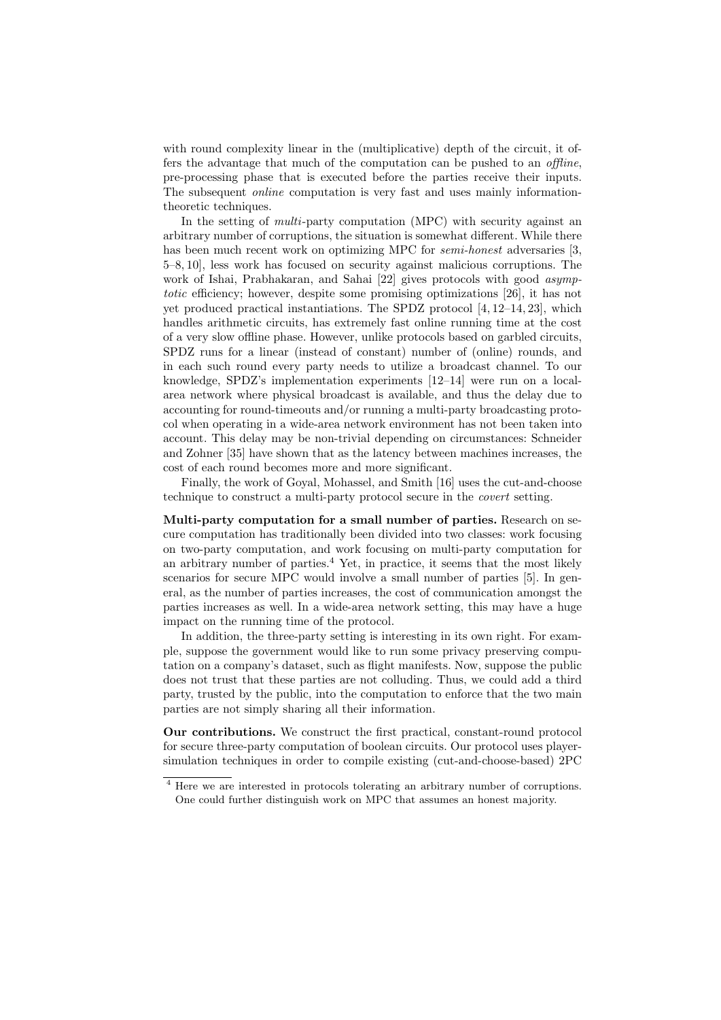with round complexity linear in the (multiplicative) depth of the circuit, it offers the advantage that much of the computation can be pushed to an offline, pre-processing phase that is executed before the parties receive their inputs. The subsequent online computation is very fast and uses mainly informationtheoretic techniques.

In the setting of *multi*-party computation (MPC) with security against an arbitrary number of corruptions, the situation is somewhat different. While there has been much recent work on optimizing MPC for *semi-honest* adversaries [3, 5–8, 10], less work has focused on security against malicious corruptions. The work of Ishai, Prabhakaran, and Sahai [22] gives protocols with good asymptotic efficiency; however, despite some promising optimizations [26], it has not yet produced practical instantiations. The SPDZ protocol  $[4, 12-14, 23]$ , which handles arithmetic circuits, has extremely fast online running time at the cost of a very slow offline phase. However, unlike protocols based on garbled circuits, SPDZ runs for a linear (instead of constant) number of (online) rounds, and in each such round every party needs to utilize a broadcast channel. To our knowledge, SPDZ's implementation experiments [12–14] were run on a localarea network where physical broadcast is available, and thus the delay due to accounting for round-timeouts and/or running a multi-party broadcasting protocol when operating in a wide-area network environment has not been taken into account. This delay may be non-trivial depending on circumstances: Schneider and Zohner [35] have shown that as the latency between machines increases, the cost of each round becomes more and more significant.

Finally, the work of Goyal, Mohassel, and Smith [16] uses the cut-and-choose technique to construct a multi-party protocol secure in the covert setting.

Multi-party computation for a small number of parties. Research on secure computation has traditionally been divided into two classes: work focusing on two-party computation, and work focusing on multi-party computation for an arbitrary number of parties.<sup>4</sup> Yet, in practice, it seems that the most likely scenarios for secure MPC would involve a small number of parties [5]. In general, as the number of parties increases, the cost of communication amongst the parties increases as well. In a wide-area network setting, this may have a huge impact on the running time of the protocol.

In addition, the three-party setting is interesting in its own right. For example, suppose the government would like to run some privacy preserving computation on a company's dataset, such as flight manifests. Now, suppose the public does not trust that these parties are not colluding. Thus, we could add a third party, trusted by the public, into the computation to enforce that the two main parties are not simply sharing all their information.

Our contributions. We construct the first practical, constant-round protocol for secure three-party computation of boolean circuits. Our protocol uses playersimulation techniques in order to compile existing (cut-and-choose-based) 2PC

<sup>&</sup>lt;sup>4</sup> Here we are interested in protocols tolerating an arbitrary number of corruptions. One could further distinguish work on MPC that assumes an honest majority.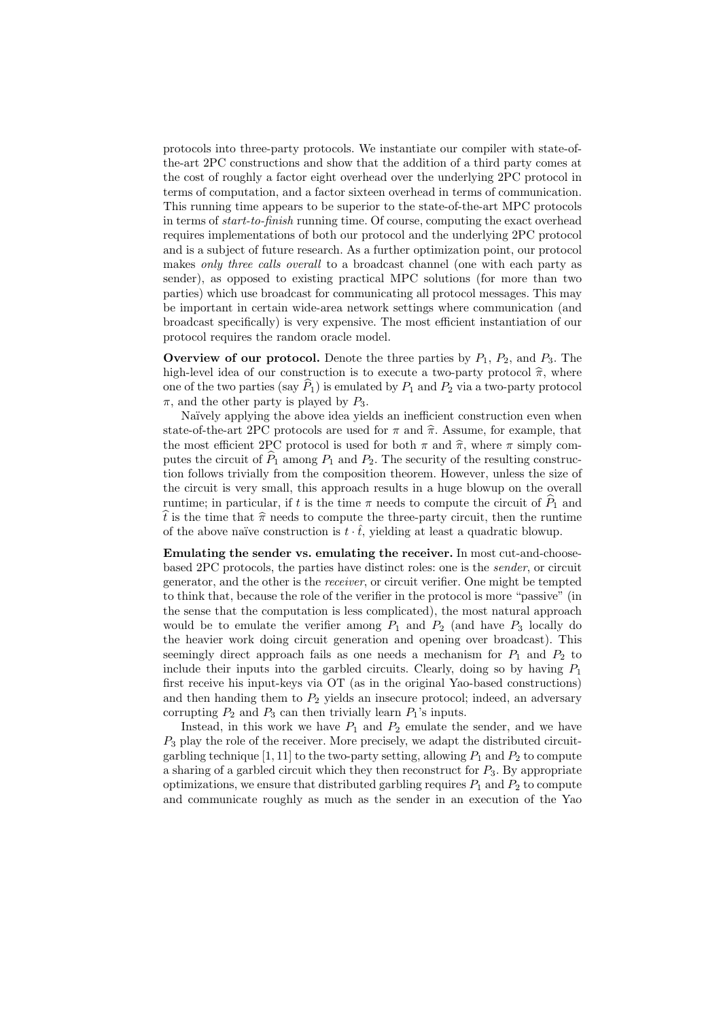protocols into three-party protocols. We instantiate our compiler with state-ofthe-art 2PC constructions and show that the addition of a third party comes at the cost of roughly a factor eight overhead over the underlying 2PC protocol in terms of computation, and a factor sixteen overhead in terms of communication. This running time appears to be superior to the state-of-the-art MPC protocols in terms of start-to-finish running time. Of course, computing the exact overhead requires implementations of both our protocol and the underlying 2PC protocol and is a subject of future research. As a further optimization point, our protocol makes only three calls overall to a broadcast channel (one with each party as sender), as opposed to existing practical MPC solutions (for more than two parties) which use broadcast for communicating all protocol messages. This may be important in certain wide-area network settings where communication (and broadcast specifically) is very expensive. The most efficient instantiation of our protocol requires the random oracle model.

Overview of our protocol. Denote the three parties by  $P_1$ ,  $P_2$ , and  $P_3$ . The high-level idea of our construction is to execute a two-party protocol  $\hat{\pi}$ , where one of the two parties (say  $\widehat{P}_1$ ) is emulated by  $P_1$  and  $P_2$  via a two-party protocol  $\pi$ , and the other party is played by  $P_3$ .

Naïvely applying the above idea yields an inefficient construction even when state-of-the-art 2PC protocols are used for  $\pi$  and  $\hat{\pi}$ . Assume, for example, that the most efficient 2PC protocol is used for both  $\pi$  and  $\hat{\pi}$ , where  $\pi$  simply computes the circuit of  $\widehat{P}_1$  among  $P_1$  and  $P_2$ . The security of the resulting construction follows trivially from the composition theorem. However, unless the size of the circuit is very small, this approach results in a huge blowup on the overall runtime; in particular, if t is the time  $\pi$  needs to compute the circuit of  $P_1$  and  $\hat{t}$  is the time that  $\hat{\pi}$  needs to compute the three-party circuit, then the runtime of the above naïve construction is  $t \cdot \hat{t}$ , yielding at least a quadratic blowup.

Emulating the sender vs. emulating the receiver. In most cut-and-choosebased 2PC protocols, the parties have distinct roles: one is the sender, or circuit generator, and the other is the receiver, or circuit verifier. One might be tempted to think that, because the role of the verifier in the protocol is more "passive" (in the sense that the computation is less complicated), the most natural approach would be to emulate the verifier among  $P_1$  and  $P_2$  (and have  $P_3$  locally do the heavier work doing circuit generation and opening over broadcast). This seemingly direct approach fails as one needs a mechanism for  $P_1$  and  $P_2$  to include their inputs into the garbled circuits. Clearly, doing so by having  $P_1$ first receive his input-keys via OT (as in the original Yao-based constructions) and then handing them to  $P_2$  yields an insecure protocol; indeed, an adversary corrupting  $P_2$  and  $P_3$  can then trivially learn  $P_1$ 's inputs.

Instead, in this work we have  $P_1$  and  $P_2$  emulate the sender, and we have  $P_3$  play the role of the receiver. More precisely, we adapt the distributed circuitgarbling technique [1, 11] to the two-party setting, allowing  $P_1$  and  $P_2$  to compute a sharing of a garbled circuit which they then reconstruct for  $P_3$ . By appropriate optimizations, we ensure that distributed garbling requires  $P_1$  and  $P_2$  to compute and communicate roughly as much as the sender in an execution of the Yao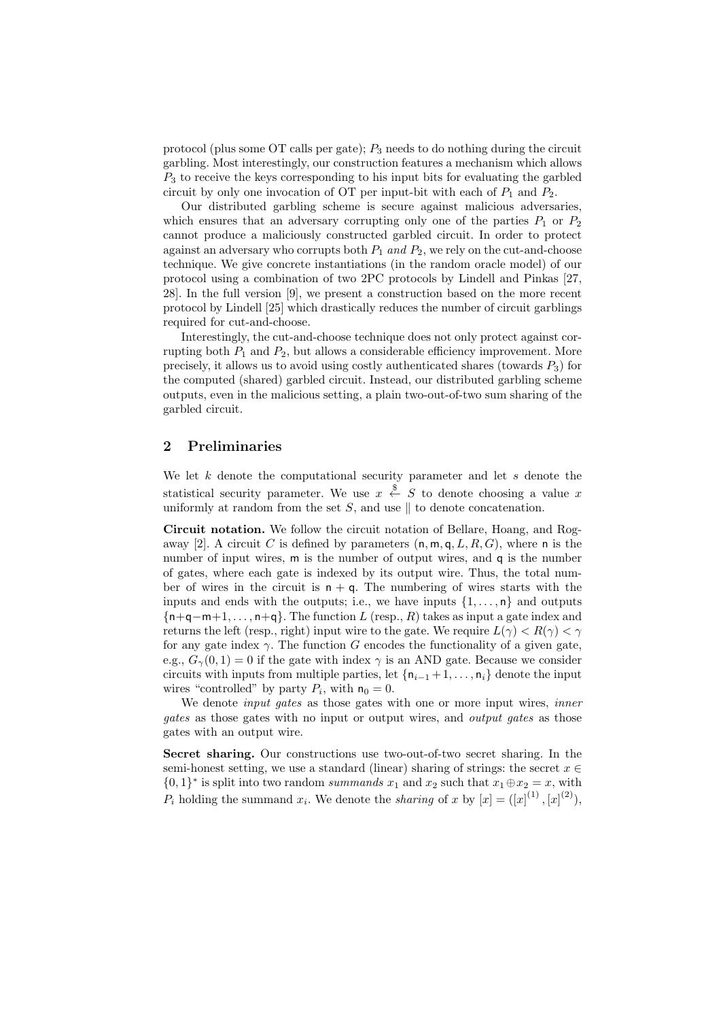protocol (plus some OT calls per gate);  $P_3$  needs to do nothing during the circuit garbling. Most interestingly, our construction features a mechanism which allows  $P_3$  to receive the keys corresponding to his input bits for evaluating the garbled circuit by only one invocation of OT per input-bit with each of  $P_1$  and  $P_2$ .

Our distributed garbling scheme is secure against malicious adversaries, which ensures that an adversary corrupting only one of the parties  $P_1$  or  $P_2$ cannot produce a maliciously constructed garbled circuit. In order to protect against an adversary who corrupts both  $P_1$  and  $P_2$ , we rely on the cut-and-choose technique. We give concrete instantiations (in the random oracle model) of our protocol using a combination of two 2PC protocols by Lindell and Pinkas [27, 28]. In the full version [9], we present a construction based on the more recent protocol by Lindell [25] which drastically reduces the number of circuit garblings required for cut-and-choose.

Interestingly, the cut-and-choose technique does not only protect against corrupting both  $P_1$  and  $P_2$ , but allows a considerable efficiency improvement. More precisely, it allows us to avoid using costly authenticated shares (towards  $P_3$ ) for the computed (shared) garbled circuit. Instead, our distributed garbling scheme outputs, even in the malicious setting, a plain two-out-of-two sum sharing of the garbled circuit.

# 2 Preliminaries

We let k denote the computational security parameter and let s denote the statistical security parameter. We use  $x \stackrel{\$}{\leftarrow} S$  to denote choosing a value x uniformly at random from the set  $S$ , and use  $\parallel$  to denote concatenation.

Circuit notation. We follow the circuit notation of Bellare, Hoang, and Rogaway [2]. A circuit C is defined by parameters  $(n, m, q, L, R, G)$ , where n is the number of input wires, m is the number of output wires, and q is the number of gates, where each gate is indexed by its output wire. Thus, the total number of wires in the circuit is  $n + q$ . The numbering of wires starts with the inputs and ends with the outputs; i.e., we have inputs  $\{1, \ldots, n\}$  and outputs  ${n+q-m+1,\ldots,n+q}$ . The function L (resp., R) takes as input a gate index and returns the left (resp., right) input wire to the gate. We require  $L(\gamma) < R(\gamma) < \gamma$ for any gate index  $\gamma$ . The function G encodes the functionality of a given gate, e.g.,  $G_{\gamma}(0,1) = 0$  if the gate with index  $\gamma$  is an AND gate. Because we consider circuits with inputs from multiple parties, let  $\{n_{i-1}+1,\ldots,n_i\}$  denote the input wires "controlled" by party  $P_i$ , with  $n_0 = 0$ .

We denote *input gates* as those gates with one or more input wires, *inner* gates as those gates with no input or output wires, and output gates as those gates with an output wire.

Secret sharing. Our constructions use two-out-of-two secret sharing. In the semi-honest setting, we use a standard (linear) sharing of strings: the secret  $x \in$  $\{0,1\}^*$  is split into two random summands  $x_1$  and  $x_2$  such that  $x_1 \oplus x_2 = x$ , with  $P_i$  holding the summand  $x_i$ . We denote the *sharing* of x by  $[x] = ([x]^{(1)}, [x]^{(2)}),$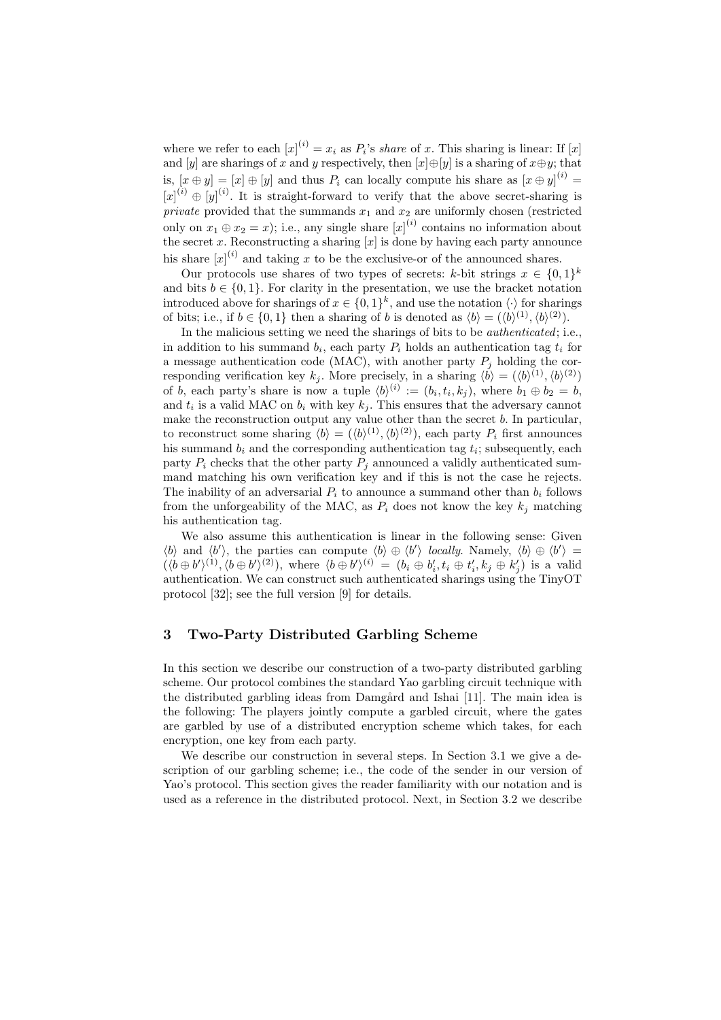where we refer to each  $[x]^{(i)} = x_i$  as  $P_i$ 's share of x. This sharing is linear: If  $[x]$ and [y] are sharings of x and y respectively, then  $[x] \oplus [y]$  is a sharing of  $x \oplus y$ ; that is,  $[x \oplus y] = [x] \oplus [y]$  and thus  $P_i$  can locally compute his share as  $[x \oplus y]^{(i)} =$  $[x]^{(i)} \oplus [y]^{(i)}$ . It is straight-forward to verify that the above secret-sharing is *private* provided that the summands  $x_1$  and  $x_2$  are uniformly chosen (restricted only on  $x_1 \oplus x_2 = x$ ); i.e., any single share  $[x]^{(i)}$  contains no information about the secret x. Reconstructing a sharing  $[x]$  is done by having each party announce his share  $[x]^{(i)}$  and taking x to be the exclusive-or of the announced shares.

Our protocols use shares of two types of secrets: k-bit strings  $x \in \{0,1\}^k$ and bits  $b \in \{0, 1\}$ . For clarity in the presentation, we use the bracket notation introduced above for sharings of  $x \in \{0,1\}^k$ , and use the notation  $\langle \cdot \rangle$  for sharings of bits; i.e., if  $b \in \{0,1\}$  then a sharing of b is denoted as  $\langle b \rangle = (\langle b \rangle^{(1)}, \langle b \rangle^{(2)})$ .

In the malicious setting we need the sharings of bits to be authenticated; i.e., in addition to his summand  $b_i$ , each party  $P_i$  holds an authentication tag  $t_i$  for a message authentication code (MAC), with another party  $P_i$  holding the corresponding verification key  $k_j$ . More precisely, in a sharing  $\langle b \rangle = (\langle b \rangle^{(1)}, \langle b \rangle^{(2)})$ of b, each party's share is now a tuple  $\langle b \rangle^{(i)} := (b_i, t_i, k_j)$ , where  $b_1 \oplus b_2 = b$ , and  $t_i$  is a valid MAC on  $b_i$  with key  $k_j$ . This ensures that the adversary cannot make the reconstruction output any value other than the secret  $b$ . In particular, to reconstruct some sharing  $\langle b \rangle = (\langle b \rangle^{(1)}, \langle b \rangle^{(2)})$ , each party  $P_i$  first announces his summand  $b_i$  and the corresponding authentication tag  $t_i$ ; subsequently, each party  $P_i$  checks that the other party  $P_i$  announced a validly authenticated summand matching his own verification key and if this is not the case he rejects. The inability of an adversarial  $P_i$  to announce a summand other than  $b_i$  follows from the unforgeability of the MAC, as  $P_i$  does not know the key  $k_j$  matching his authentication tag.

We also assume this authentication is linear in the following sense: Given  $\langle b \rangle$  and  $\langle b' \rangle$ , the parties can compute  $\langle b \rangle \oplus \langle b' \rangle$  locally. Namely,  $\langle b \rangle \oplus \langle b' \rangle =$  $(\langle b \oplus b' \rangle^{(1)}, \langle b \oplus b' \rangle^{(2)})$ , where  $\langle b \oplus b' \rangle^{(i)} = (b_i \oplus b'_i, t_i \oplus t'_i, k_j \oplus k'_j)$  is a valid authentication. We can construct such authenticated sharings using the TinyOT protocol [32]; see the full version [9] for details.

# 3 Two-Party Distributed Garbling Scheme

In this section we describe our construction of a two-party distributed garbling scheme. Our protocol combines the standard Yao garbling circuit technique with the distributed garbling ideas from Damgård and Ishai [11]. The main idea is the following: The players jointly compute a garbled circuit, where the gates are garbled by use of a distributed encryption scheme which takes, for each encryption, one key from each party.

We describe our construction in several steps. In Section 3.1 we give a description of our garbling scheme; i.e., the code of the sender in our version of Yao's protocol. This section gives the reader familiarity with our notation and is used as a reference in the distributed protocol. Next, in Section 3.2 we describe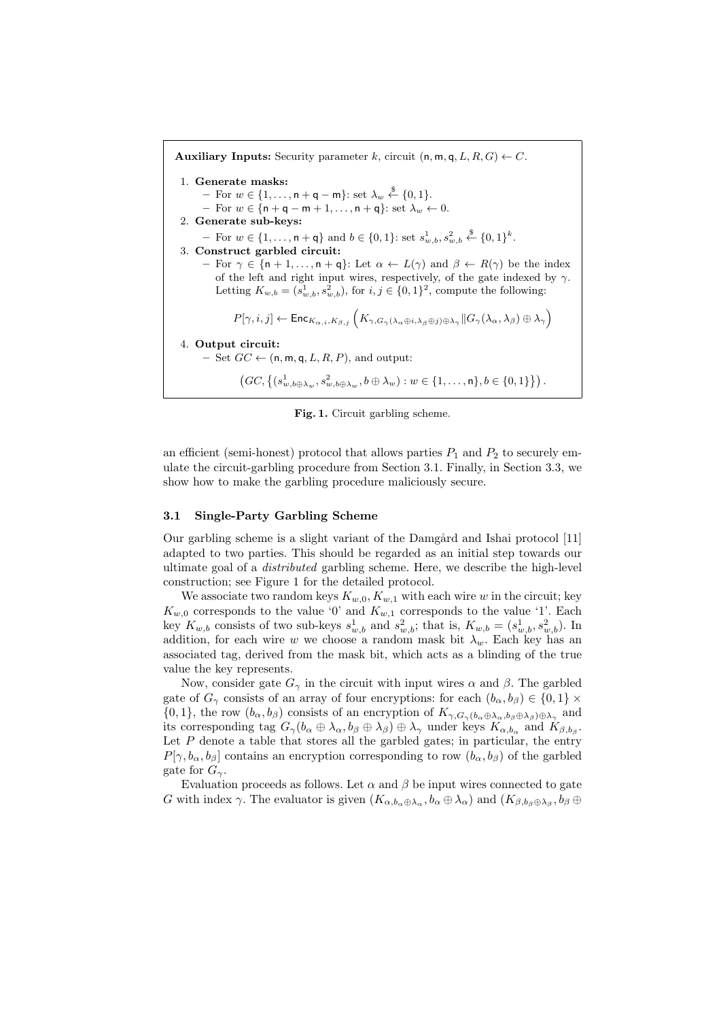Auxiliary Inputs: Security parameter k, circuit  $(n, m, q, L, R, G) \leftarrow C$ . 1. Generate masks:  $-$  For  $w \in \{1, \ldots, n + q - m\}$ : set  $\lambda_w \stackrel{\$}{\leftarrow} \{0, 1\}.$  $-$  For  $w \in \{n+q-m+1,\ldots,n+q\}$ : set  $\lambda_w \leftarrow 0$ . 2. Generate sub-keys: − For  $w \in \{1, ..., n+q\}$  and  $b \in \{0,1\}$ : set  $s_{w,b}^{1}, s_{w,b}^{2} \stackrel{\$}{\leftarrow} \{0,1\}^{k}$ . 3. Construct garbled circuit: – For  $\gamma \in \{n+1,\ldots,n+q\}$ : Let  $\alpha \leftarrow L(\gamma)$  and  $\beta \leftarrow R(\gamma)$  be the index of the left and right input wires, respectively, of the gate indexed by  $\gamma$ . Letting  $K_{w,b} = (s_{w,b}^1, s_{w,b}^2)$ , for  $i, j \in \{0,1\}^2$ , compute the following:  $P[\gamma, i, j] \gets {\sf Enc}_{K_{\alpha,i}, K_{\beta,j}}\left(K_{\gamma, G_\gamma(\lambda_\alpha\oplus i, \lambda_\beta\oplus j)\oplus \lambda_\gamma}\|G_\gamma(\lambda_\alpha, \lambda_\beta)\oplus\lambda_\gamma\right)$ 4. Output circuit:  $-$  Set  $GC \leftarrow (n, m, q, L, R, P)$ , and output:  $\left(GC,\left\{(s^1_{w,b\oplus \lambda_w},s^2_{w,b\oplus \lambda_w},b\oplus \lambda_w):w\in \{1,\ldots,\textsf{n}\},b\in \{0,1\}\right\}\right).$ 



an efficient (semi-honest) protocol that allows parties  $P_1$  and  $P_2$  to securely emulate the circuit-garbling procedure from Section 3.1. Finally, in Section 3.3, we show how to make the garbling procedure maliciously secure.

### 3.1 Single-Party Garbling Scheme

Our garbling scheme is a slight variant of the Damgård and Ishai protocol [11] adapted to two parties. This should be regarded as an initial step towards our ultimate goal of a distributed garbling scheme. Here, we describe the high-level construction; see Figure 1 for the detailed protocol.

We associate two random keys  $K_{w,0}, K_{w,1}$  with each wire w in the circuit; key  $K_{w,0}$  corresponds to the value '0' and  $K_{w,1}$  corresponds to the value '1'. Each key  $K_{w,b}$  consists of two sub-keys  $s_{w,b}^1$  and  $s_{w,b}^2$ ; that is,  $K_{w,b} = (s_{w,b}^1, s_{w,b}^2)$ . In addition, for each wire w we choose a random mask bit  $\lambda_w$ . Each key has an associated tag, derived from the mask bit, which acts as a blinding of the true value the key represents.

Now, consider gate  $G_{\gamma}$  in the circuit with input wires  $\alpha$  and  $\beta$ . The garbled gate of  $G_\gamma$  consists of an array of four encryptions: for each  $(b_\alpha, b_\beta) \in \{0,1\} \times$  $\{0,1\}$ , the row  $(b_\alpha, b_\beta)$  consists of an encryption of  $K_{\gamma, G_\gamma(b_\alpha \oplus \lambda_\alpha, b_\beta \oplus \lambda_\beta)\oplus \lambda_\gamma}$  and its corresponding tag  $G_{\gamma}(b_{\alpha} \oplus \lambda_{\alpha}, b_{\beta} \oplus \lambda_{\beta}) \oplus \lambda_{\gamma}$  under keys  $K_{\alpha,b_{\alpha}}$  and  $K_{\beta,b_{\beta}}$ . Let  $P$  denote a table that stores all the garbled gates; in particular, the entry  $P[\gamma, b_\alpha, b_\beta]$  contains an encryption corresponding to row  $(b_\alpha, b_\beta)$  of the garbled gate for  $G_{\gamma}$ .

Evaluation proceeds as follows. Let  $\alpha$  and  $\beta$  be input wires connected to gate G with index  $\gamma$ . The evaluator is given  $(K_{\alpha,b_{\alpha}\oplus\lambda_{\alpha}},b_{\alpha}\oplus\lambda_{\alpha})$  and  $(K_{\beta,b_{\beta}\oplus\lambda_{\beta}},b_{\beta}\oplus\lambda_{\beta})$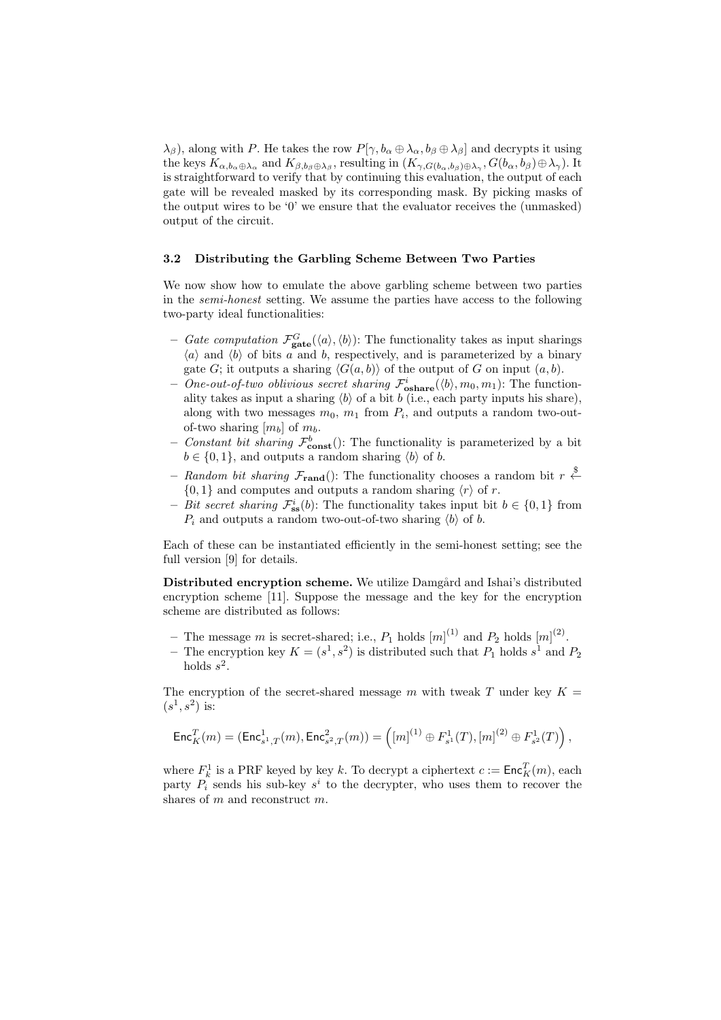$\lambda_{\beta}$ ), along with P. He takes the row  $P[\gamma, b_{\alpha} \oplus \lambda_{\alpha}, b_{\beta} \oplus \lambda_{\beta}]$  and decrypts it using the keys  $K_{\alpha,b_{\alpha}\oplus \lambda_{\alpha}}$  and  $K_{\beta,b_{\beta}\oplus \lambda_{\beta}}$ , resulting in  $(K_{\gamma,G(b_{\alpha},b_{\beta})\oplus \lambda_{\gamma}},G(b_{\alpha},b_{\beta})\oplus \lambda_{\gamma})$ . It is straightforward to verify that by continuing this evaluation, the output of each gate will be revealed masked by its corresponding mask. By picking masks of the output wires to be '0' we ensure that the evaluator receives the (unmasked) output of the circuit.

#### 3.2 Distributing the Garbling Scheme Between Two Parties

We now show how to emulate the above garbling scheme between two parties in the semi-honest setting. We assume the parties have access to the following two-party ideal functionalities:

- Gate computation  $\mathcal{F}_{gate}^G(\langle a\rangle,\langle b\rangle)$ : The functionality takes as input sharings  $\langle a \rangle$  and  $\langle b \rangle$  of bits a and b, respectively, and is parameterized by a binary gate G; it outputs a sharing  $\langle G(a, b) \rangle$  of the output of G on input  $(a, b)$ .
- One-out-of-two oblivious secret sharing  $\mathcal{F}_{\mathbf{oshare}}^i(\langle b \rangle, m_0, m_1)$ : The functionality takes as input a sharing  $\langle b \rangle$  of a bit b (i.e., each party inputs his share), along with two messages  $m_0$ ,  $m_1$  from  $P_i$ , and outputs a random two-outof-two sharing  $[m_b]$  of  $m_b$ .
- Constant bit sharing  $\mathcal{F}_{\text{const}}^b$  (): The functionality is parameterized by a bit  $b \in \{0, 1\}$ , and outputs a random sharing  $\langle b \rangle$  of b.
- Random bit sharing  $\mathcal{F}_{\text{rand}}($ : The functionality chooses a random bit  $r \overset{\$}{\leftarrow}$  $\{0, 1\}$  and computes and outputs a random sharing  $\langle r \rangle$  of r.
- Bit secret sharing  $\mathcal{F}_{ss}^{i}(b)$ : The functionality takes input bit  $b \in \{0,1\}$  from  $P_i$  and outputs a random two-out-of-two sharing  $\langle b \rangle$  of b.

Each of these can be instantiated efficiently in the semi-honest setting; see the full version [9] for details.

Distributed encryption scheme. We utilize Damgård and Ishai's distributed encryption scheme [11]. Suppose the message and the key for the encryption scheme are distributed as follows:

- The message m is secret-shared; i.e.,  $P_1$  holds  $[m]^{(1)}$  and  $P_2$  holds  $[m]^{(2)}$ .
- The encryption key  $K = (s^1, s^2)$  is distributed such that  $P_1$  holds  $s^1$  and  $P_2$ holds  $s^2$ .

The encryption of the secret-shared message m with tweak T under key  $K =$  $(s^1, s^2)$  is:

$$
\text{Enc}^T_K(m) = (\text{Enc}^1_{s^1,T}(m), \text{Enc}^2_{s^2,T}(m)) = \left( [m]^{(1)} \oplus F^1_{s^1}(T), [m]^{(2)} \oplus F^1_{s^2}(T) \right),
$$

where  $F_k^1$  is a PRF keyed by key k. To decrypt a ciphertext  $c := \mathsf{Enc}^T_K(m)$ , each party  $P_i$  sends his sub-key  $s^i$  to the decrypter, who uses them to recover the shares of  $m$  and reconstruct  $m$ .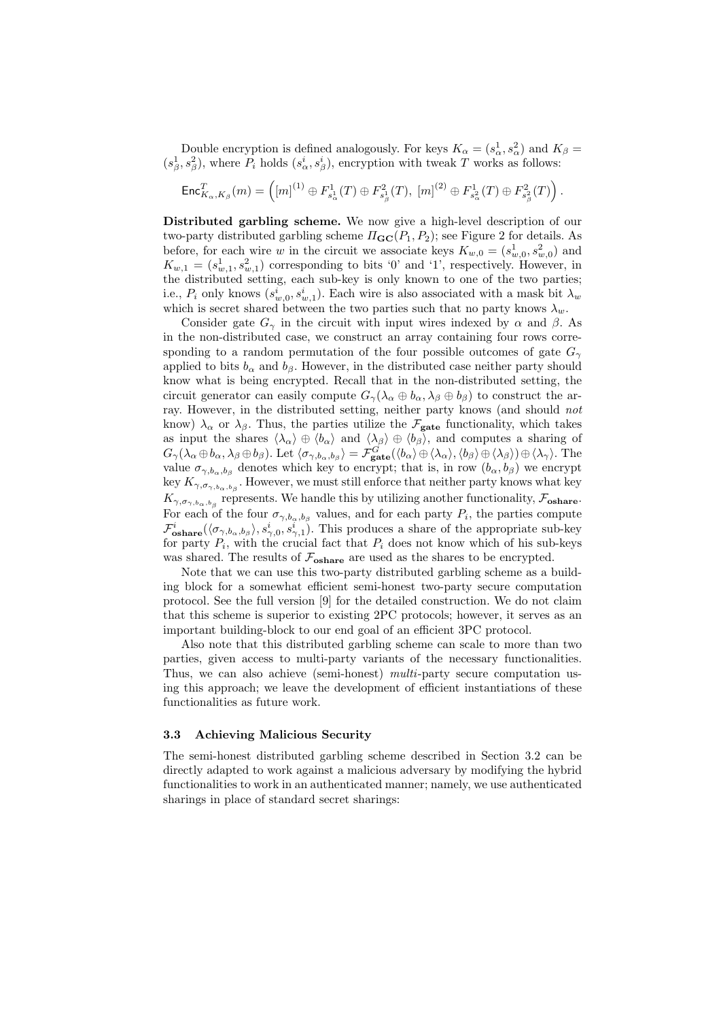Double encryption is defined analogously. For keys  $K_{\alpha} = (s_{\alpha}^1, s_{\alpha}^2)$  and  $K_{\beta} =$  $(s_\beta^1, s_\beta^2)$ , where  $P_i$  holds  $(s_\alpha^i, s_\beta^i)$ , encryption with tweak T works as follows:

$$
\text{Enc}_{K_{\alpha}, K_{\beta}}^T(m) = \left( [m]^{(1)} \oplus F_{s_{\alpha}^1}^1(T) \oplus F_{s_{\beta}^1}^2(T), [m]^{(2)} \oplus F_{s_{\alpha}^2}^1(T) \oplus F_{s_{\beta}^2}^2(T) \right).
$$

Distributed garbling scheme. We now give a high-level description of our two-party distributed garbling scheme  $\Pi_{\mathbf{GC}}(P_1, P_2)$ ; see Figure 2 for details. As before, for each wire w in the circuit we associate keys  $K_{w,0} = (s_{w,0}^1, s_{w,0}^2)$  and  $K_{w,1} = (s_{w,1}^1, s_{w,1}^2)$  corresponding to bits '0' and '1', respectively. However, in the distributed setting, each sub-key is only known to one of the two parties; i.e.,  $P_i$  only knows  $(s_w^i, s_{w,1}^i)$ . Each wire is also associated with a mask bit  $\lambda_w$ which is secret shared between the two parties such that no party knows  $\lambda_w$ .

Consider gate  $G_{\gamma}$  in the circuit with input wires indexed by  $\alpha$  and  $\beta$ . As in the non-distributed case, we construct an array containing four rows corresponding to a random permutation of the four possible outcomes of gate  $G_{\gamma}$ applied to bits  $b_{\alpha}$  and  $b_{\beta}$ . However, in the distributed case neither party should know what is being encrypted. Recall that in the non-distributed setting, the circuit generator can easily compute  $G_{\gamma}(\lambda_{\alpha} \oplus b_{\alpha}, \lambda_{\beta} \oplus b_{\beta})$  to construct the array. However, in the distributed setting, neither party knows (and should not know)  $\lambda_{\alpha}$  or  $\lambda_{\beta}$ . Thus, the parties utilize the  $\mathcal{F}_{\text{gate}}$  functionality, which takes as input the shares  $\langle \lambda_{\alpha} \rangle \oplus \langle b_{\alpha} \rangle$  and  $\langle \lambda_{\beta} \rangle \oplus \langle b_{\beta} \rangle$ , and computes a sharing of  $G_{\gamma}(\lambda_{\alpha}\oplus b_{\alpha},\lambda_{\beta}\oplus b_{\beta}).$  Let  $\langle \sigma_{\gamma,b_{\alpha},b_{\beta}} \rangle = \mathcal{F}_{gate}^G(\langle b_{\alpha} \rangle \oplus \langle \lambda_{\alpha} \rangle, \langle b_{\beta} \rangle \oplus \langle \lambda_{\beta} \rangle) \oplus \langle \lambda_{\gamma} \rangle.$  The value  $\sigma_{\gamma,b_\alpha,b_\beta}$  denotes which key to encrypt; that is, in row  $(b_\alpha,b_\beta)$  we encrypt key  $K_{\gamma,\sigma_{\gamma,b_\alpha,b_\beta}}.$  However, we must still enforce that neither party knows what key  $K_{\gamma,\sigma_\gamma,b_\alpha,b_\beta}$  represents. We handle this by utilizing another functionality,  $\mathcal{F}_{\text{oshare}}$ . For each of the four  $\sigma_{\gamma,b_{\alpha},b_{\beta}}$  values, and for each party  $P_i$ , the parties compute  $\mathcal{F}_{\text{oshare}}^i(\langle \sigma_{\gamma,b_\alpha,b_\beta},s_{\gamma,0}^i,s_{\gamma,1}^i\rangle)$ . This produces a share of the appropriate sub-key for party  $P_i$ , with the crucial fact that  $P_i$  does not know which of his sub-keys was shared. The results of  $\mathcal{F}_{\mathbf{oshare}}$  are used as the shares to be encrypted.

Note that we can use this two-party distributed garbling scheme as a building block for a somewhat efficient semi-honest two-party secure computation protocol. See the full version [9] for the detailed construction. We do not claim that this scheme is superior to existing 2PC protocols; however, it serves as an important building-block to our end goal of an efficient 3PC protocol.

Also note that this distributed garbling scheme can scale to more than two parties, given access to multi-party variants of the necessary functionalities. Thus, we can also achieve (semi-honest) multi-party secure computation using this approach; we leave the development of efficient instantiations of these functionalities as future work.

#### 3.3 Achieving Malicious Security

The semi-honest distributed garbling scheme described in Section 3.2 can be directly adapted to work against a malicious adversary by modifying the hybrid functionalities to work in an authenticated manner; namely, we use authenticated sharings in place of standard secret sharings: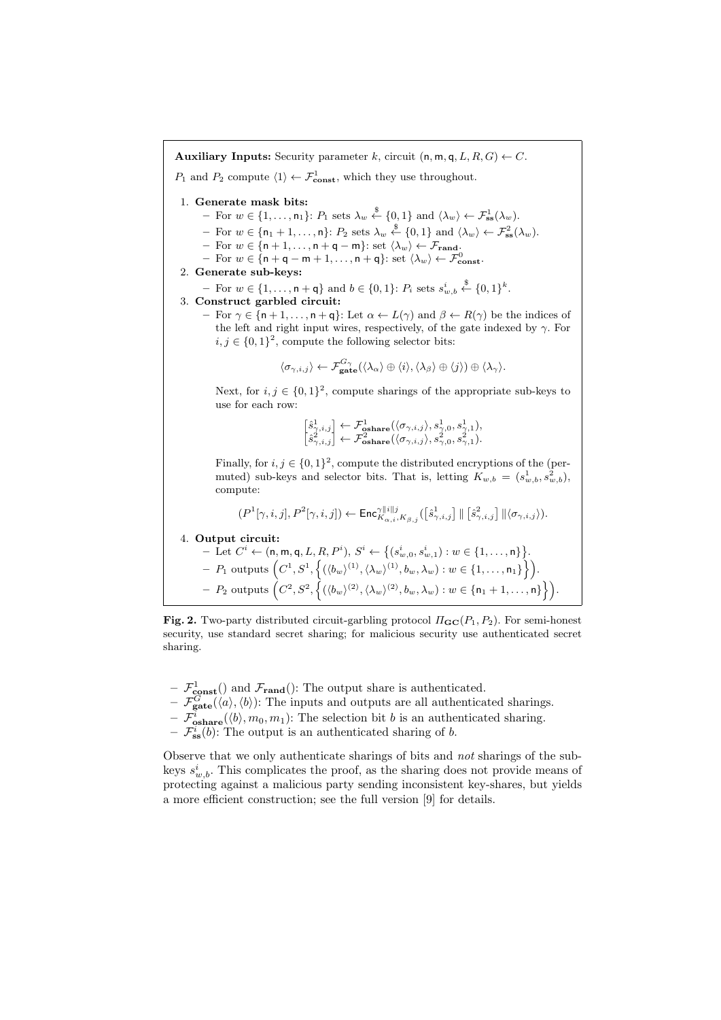Auxiliary Inputs: Security parameter k, circuit  $(n, m, q, L, R, G) \leftarrow C$ .

 $P_1$  and  $P_2$  compute  $\langle 1 \rangle \leftarrow \mathcal{F}_{\text{const}}^1$ , which they use throughout.

- 1. Generate mask bits:
	- $-$  For  $w \in \{1, ..., n_1\}$ :  $P_1$  sets  $\lambda_w \stackrel{\$}{\leftarrow} \{0, 1\}$  and  $\langle \lambda_w \rangle \leftarrow \mathcal{F}_{ss}^1(\lambda_w)$ .
	- For  $w \in \{n_1 + 1, \ldots, n\}$ :  $P_2$  sets  $\lambda_w \stackrel{\$}{\leftarrow} \{0, 1\}$  and  $\langle \lambda_w \rangle \leftarrow \mathcal{F}_{ss}^2(\lambda_w)$ .
	- For  $w \in \{n+1, \ldots, n+q-m\}$ : set  $\langle \lambda_w \rangle \leftarrow \mathcal{F}_{\text{rand}}$ .
	- $-$  For  $w \in \{n + q m + 1, ..., n + q\}$ : set  $\langle \lambda_w \rangle$  ←  $\mathcal{F}_{const}^0$ .

# 2. Generate sub-keys:

- For  $w \in \{1, ..., n + q\}$  and  $b \in \{0, 1\}$ :  $P_i$  sets  $s_{w, b}^i \stackrel{\$}{\leftarrow} \{0, 1\}^k$ .

#### 3. Construct garbled circuit:

– For  $\gamma \in \{\mathsf{n}+1,\ldots,\mathsf{n}+\mathsf{q}\}\colon$  Let  $\alpha \leftarrow L(\gamma)$  and  $\beta \leftarrow R(\gamma)$  be the indices of the left and right input wires, respectively, of the gate indexed by  $\gamma$ . For  $i, j \in \{0,1\}^2$ , compute the following selector bits:

$$
\langle \sigma_{\gamma,i,j} \rangle \leftarrow \mathcal{F}_{\textbf{gate}}^{G_{\gamma}}(\langle \lambda_{\alpha} \rangle \oplus \langle i \rangle, \langle \lambda_{\beta} \rangle \oplus \langle j \rangle) \oplus \langle \lambda_{\gamma} \rangle.
$$

Next, for  $i, j \in \{0,1\}^2$ , compute sharings of the appropriate sub-keys to use for each row:

$$
\begin{array}{c} \left[\hat{s}_{\gamma,i,j}^1\right] \leftarrow \mathcal{F}_\mathtt{oshare}^{1}(\langle\sigma_{\gamma,i,j}\rangle, s_{\gamma,0}^1, s_{\gamma,1}^1), \\ \left[\hat{s}_{\gamma,i,j}^2\right] \leftarrow \mathcal{F}_\mathtt{oshare}^{2}(\langle\sigma_{\gamma,i,j}\rangle, s_{\gamma,0}^2, s_{\gamma,1}^2). \end{array}
$$

Finally, for  $i, j \in \{0, 1\}^2$ , compute the distributed encryptions of the (permuted) sub-keys and selector bits. That is, letting  $K_{w,b} = (s_{w,b}^1, s_{w,b}^2)$ , compute:

$$
(P^1[\gamma,i,j],P^2[\gamma,i,j]) \leftarrow \mathrm{Enc}^{\gamma\|i\|j}_{K_{\alpha,i},K_{\beta,j}}(\left[\hat{s}^1_{\gamma,i,j}\right]\|\left[\hat{s}^2_{\gamma,i,j}\right]\|\langle\sigma_{\gamma,i,j}\rangle).
$$

4. Output circuit:

- Let 
$$
C^i \leftarrow (n, m, q, L, R, P^i), S^i \leftarrow \{(s_w^i, 0, s_w^i, 1) : w \in \{1, ..., n\}\}.
$$
  
\n-  $P_1$  outputs  $\left(C^1, S^1, \left\{((b_w)^{(1)}, \langle \lambda_w \rangle^{(1)}, b_w, \lambda_w) : w \in \{1, ..., n_1\}\right\}\right).$   
\n-  $P_2$  outputs  $\left(C^2, S^2, \left\{((b_w)^{(2)}, \langle \lambda_w \rangle^{(2)}, b_w, \lambda_w) : w \in \{n_1 + 1, ..., n\}\right\}\right).$ 

Fig. 2. Two-party distributed circuit-garbling protocol  $\Pi_{\mathbf{GC}}(P_1, P_2)$ . For semi-honest security, use standard secret sharing; for malicious security use authenticated secret sharing.

- $-\mathcal{F}^1_{\text{const}}($  and  $\mathcal{F}_{\text{rand}}()$ : The output share is authenticated.
- $-\mathcal{F}_{gate}^{G}(\langle a\rangle,\langle b\rangle)$ : The inputs and outputs are all authenticated sharings.
- $-\mathcal{F}_{\text{oshare}}^{i}(\langle b \rangle, m_0, m_1)$ : The selection bit b is an authenticated sharing.
- $-\mathcal{F}_{ss}^{i}(b)$ : The output is an authenticated sharing of b.

Observe that we only authenticate sharings of bits and not sharings of the subkeys  $s_{w,b}^i$ . This complicates the proof, as the sharing does not provide means of protecting against a malicious party sending inconsistent key-shares, but yields a more efficient construction; see the full version [9] for details.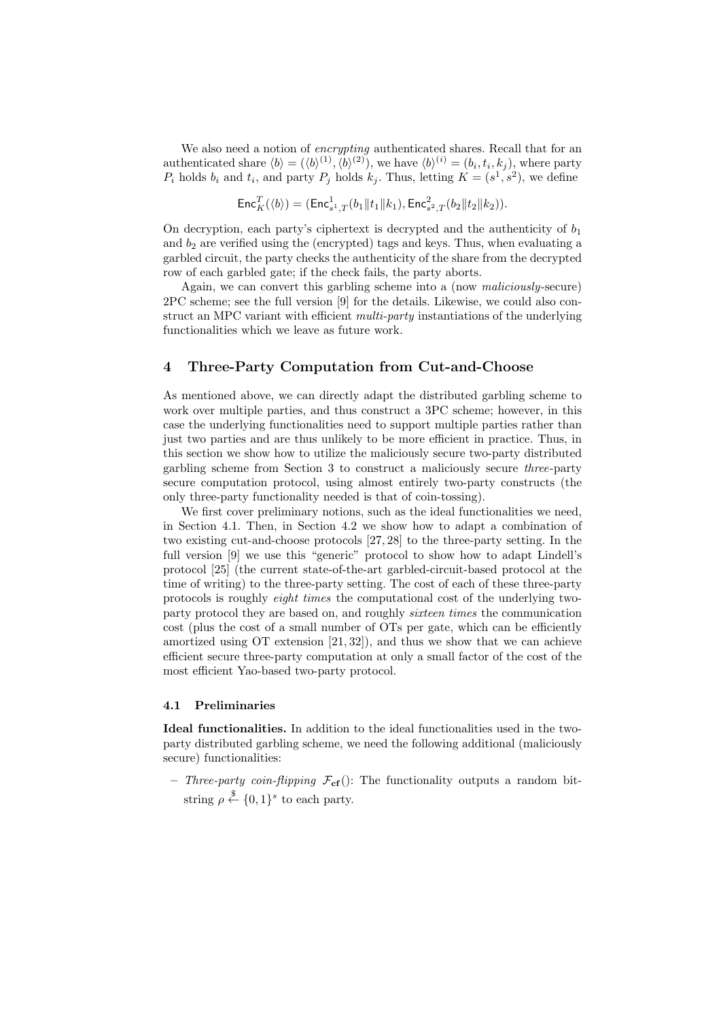We also need a notion of *encrypting* authenticated shares. Recall that for an authenticated share  $\langle b \rangle = (\langle b \rangle^{(1)}, \langle b \rangle^{(2)})$ , we have  $\langle b \rangle^{(i)} = (b_i, t_i, k_j)$ , where party  $P_i$  holds  $b_i$  and  $t_i$ , and party  $P_j$  holds  $k_j$ . Thus, letting  $K = (s^1, s^2)$ , we define

$$
\mathsf{Enc}^T_{K}(\langle b \rangle) = (\mathsf{Enc}^1_{s^1,T}(b_1 \| t_1 \| k_1), \mathsf{Enc}^2_{s^2,T}(b_2 \| t_2 \| k_2)).
$$

On decryption, each party's ciphertext is decrypted and the authenticity of  $b_1$ and  $b_2$  are verified using the (encrypted) tags and keys. Thus, when evaluating a garbled circuit, the party checks the authenticity of the share from the decrypted row of each garbled gate; if the check fails, the party aborts.

Again, we can convert this garbling scheme into a (now maliciously-secure) 2PC scheme; see the full version [9] for the details. Likewise, we could also construct an MPC variant with efficient *multi-party* instantiations of the underlying functionalities which we leave as future work.

# 4 Three-Party Computation from Cut-and-Choose

As mentioned above, we can directly adapt the distributed garbling scheme to work over multiple parties, and thus construct a 3PC scheme; however, in this case the underlying functionalities need to support multiple parties rather than just two parties and are thus unlikely to be more efficient in practice. Thus, in this section we show how to utilize the maliciously secure two-party distributed garbling scheme from Section 3 to construct a maliciously secure three-party secure computation protocol, using almost entirely two-party constructs (the only three-party functionality needed is that of coin-tossing).

We first cover preliminary notions, such as the ideal functionalities we need, in Section 4.1. Then, in Section 4.2 we show how to adapt a combination of two existing cut-and-choose protocols [27, 28] to the three-party setting. In the full version [9] we use this "generic" protocol to show how to adapt Lindell's protocol [25] (the current state-of-the-art garbled-circuit-based protocol at the time of writing) to the three-party setting. The cost of each of these three-party protocols is roughly eight times the computational cost of the underlying twoparty protocol they are based on, and roughly sixteen times the communication cost (plus the cost of a small number of OTs per gate, which can be efficiently amortized using OT extension [21, 32]), and thus we show that we can achieve efficient secure three-party computation at only a small factor of the cost of the most efficient Yao-based two-party protocol.

#### 4.1 Preliminaries

Ideal functionalities. In addition to the ideal functionalities used in the twoparty distributed garbling scheme, we need the following additional (maliciously secure) functionalities:

– Three-party coin-flipping  $\mathcal{F}_{cf}$ ): The functionality outputs a random bitstring  $\rho \stackrel{\$}{\leftarrow} \{0,1\}^s$  to each party.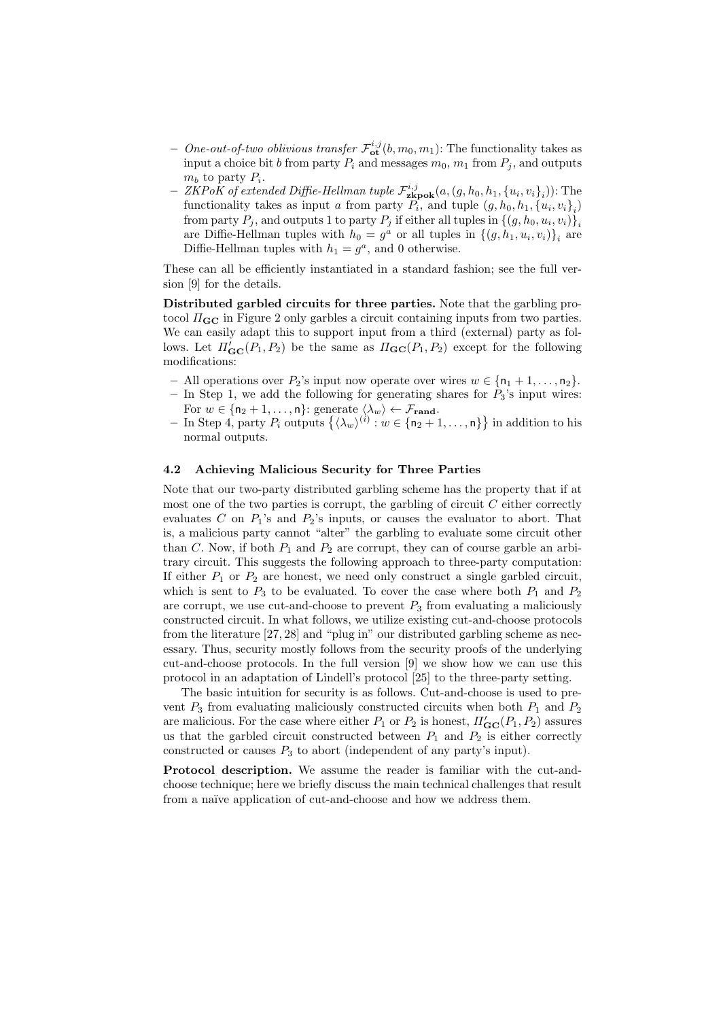- One-out-of-two oblivious transfer  $\mathcal{F}_{\mathbf{ot}}^{i,j}(b, m_0, m_1)$ : The functionality takes as input a choice bit b from party  $P_i$  and messages  $m_0$ ,  $m_1$  from  $P_j$ , and outputs  $m_b$  to party  $P_i$ .
- $ZKPo\tilde{K}$  of extended Diffie-Hellman tuple  $\mathcal{F}^{i,j}_{\bf zkpok}(a,(g,h_0,h_1,\{u_i,v_i\}_i))$ : The functionality takes as input a from party  $P_i$ , and tuple  $(g, h_0, h_1, \{u_i, v_i\}_i)$ from party  $P_j$ , and outputs 1 to party  $P_j$  if either all tuples in  $\{(g, h_0, u_i, v_i)\}_i$ are Diffie-Hellman tuples with  $h_0 = g^{\dot{a}}$  or all tuples in  $\{(g, h_1, u_i, v_i)\}_i$  are Diffie-Hellman tuples with  $h_1 = g^a$ , and 0 otherwise.

These can all be efficiently instantiated in a standard fashion; see the full version [9] for the details.

Distributed garbled circuits for three parties. Note that the garbling protocol  $\Pi_{\mathbf{GC}}$  in Figure 2 only garbles a circuit containing inputs from two parties. We can easily adapt this to support input from a third (external) party as follows. Let  $\Pi'_{\text{GC}}(P_1, P_2)$  be the same as  $\Pi_{\text{GC}}(P_1, P_2)$  except for the following modifications:

- All operations over  $P_2$ 's input now operate over wires  $w \in \{\mathsf{n}_1 + 1, \ldots, \mathsf{n}_2\}.$
- In Step 1, we add the following for generating shares for  $P_3$ 's input wires: For  $w \in \{n_2 + 1, \ldots, n\}$ : generate  $\langle \lambda_w \rangle \leftarrow \mathcal{F}_{\text{rand}}$ .
- In Step 4, party  $P_i$  outputs  $\{\langle \lambda_w \rangle^{(i)} : w \in \{\mathsf{n}_2 + 1, \ldots, \mathsf{n}\}\}\$ in addition to his normal outputs.

# 4.2 Achieving Malicious Security for Three Parties

Note that our two-party distributed garbling scheme has the property that if at most one of the two parties is corrupt, the garbling of circuit  $C$  either correctly evaluates C on  $P_1$ 's and  $P_2$ 's inputs, or causes the evaluator to abort. That is, a malicious party cannot "alter" the garbling to evaluate some circuit other than C. Now, if both  $P_1$  and  $P_2$  are corrupt, they can of course garble an arbitrary circuit. This suggests the following approach to three-party computation: If either  $P_1$  or  $P_2$  are honest, we need only construct a single garbled circuit, which is sent to  $P_3$  to be evaluated. To cover the case where both  $P_1$  and  $P_2$ are corrupt, we use cut-and-choose to prevent  $P_3$  from evaluating a maliciously constructed circuit. In what follows, we utilize existing cut-and-choose protocols from the literature [27, 28] and "plug in" our distributed garbling scheme as necessary. Thus, security mostly follows from the security proofs of the underlying cut-and-choose protocols. In the full version [9] we show how we can use this protocol in an adaptation of Lindell's protocol [25] to the three-party setting.

The basic intuition for security is as follows. Cut-and-choose is used to prevent  $P_3$  from evaluating maliciously constructed circuits when both  $P_1$  and  $P_2$ are malicious. For the case where either  $P_1$  or  $P_2$  is honest,  $\Pi'_{\text{GC}}(P_1, P_2)$  assures us that the garbled circuit constructed between  $P_1$  and  $P_2$  is either correctly constructed or causes  $P_3$  to abort (independent of any party's input).

Protocol description. We assume the reader is familiar with the cut-andchoose technique; here we briefly discuss the main technical challenges that result from a naïve application of cut-and-choose and how we address them.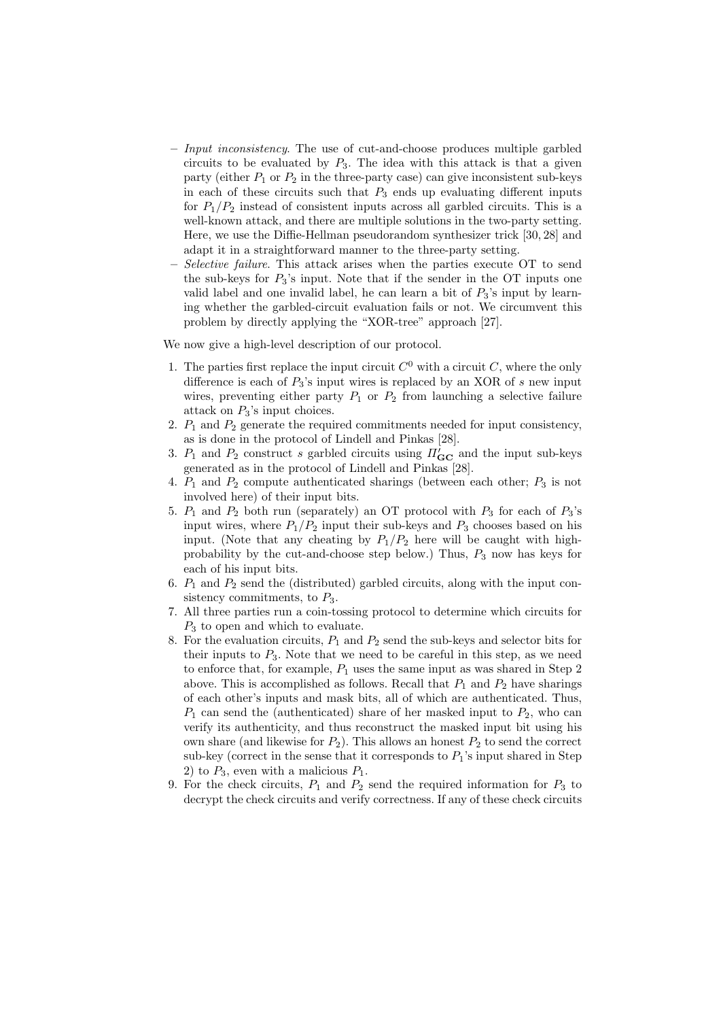- Input inconsistency. The use of cut-and-choose produces multiple garbled circuits to be evaluated by  $P_3$ . The idea with this attack is that a given party (either  $P_1$  or  $P_2$  in the three-party case) can give inconsistent sub-keys in each of these circuits such that  $P_3$  ends up evaluating different inputs for  $P_1/P_2$  instead of consistent inputs across all garbled circuits. This is a well-known attack, and there are multiple solutions in the two-party setting. Here, we use the Diffie-Hellman pseudorandom synthesizer trick [30, 28] and adapt it in a straightforward manner to the three-party setting.
- Selective failure. This attack arises when the parties execute OT to send the sub-keys for  $P_3$ 's input. Note that if the sender in the OT inputs one valid label and one invalid label, he can learn a bit of  $P_3$ 's input by learning whether the garbled-circuit evaluation fails or not. We circumvent this problem by directly applying the "XOR-tree" approach [27].

We now give a high-level description of our protocol.

- 1. The parties first replace the input circuit  $C^0$  with a circuit C, where the only difference is each of  $P_3$ 's input wires is replaced by an XOR of s new input wires, preventing either party  $P_1$  or  $P_2$  from launching a selective failure attack on  $P_3$ 's input choices.
- 2.  $P_1$  and  $P_2$  generate the required commitments needed for input consistency, as is done in the protocol of Lindell and Pinkas [28].
- 3.  $P_1$  and  $P_2$  construct s garbled circuits using  $\Pi'_{\text{GC}}$  and the input sub-keys generated as in the protocol of Lindell and Pinkas [28].
- 4.  $P_1$  and  $P_2$  compute authenticated sharings (between each other;  $P_3$  is not involved here) of their input bits.
- 5.  $P_1$  and  $P_2$  both run (separately) an OT protocol with  $P_3$  for each of  $P_3$ 's input wires, where  $P_1/P_2$  input their sub-keys and  $P_3$  chooses based on his input. (Note that any cheating by  $P_1/P_2$  here will be caught with highprobability by the cut-and-choose step below.) Thus,  $P_3$  now has keys for each of his input bits.
- 6.  $P_1$  and  $P_2$  send the (distributed) garbled circuits, along with the input consistency commitments, to  $P_3$ .
- 7. All three parties run a coin-tossing protocol to determine which circuits for  $P_3$  to open and which to evaluate.
- 8. For the evaluation circuits,  $P_1$  and  $P_2$  send the sub-keys and selector bits for their inputs to  $P_3$ . Note that we need to be careful in this step, as we need to enforce that, for example,  $P_1$  uses the same input as was shared in Step 2 above. This is accomplished as follows. Recall that  $P_1$  and  $P_2$  have sharings of each other's inputs and mask bits, all of which are authenticated. Thus,  $P_1$  can send the (authenticated) share of her masked input to  $P_2$ , who can verify its authenticity, and thus reconstruct the masked input bit using his own share (and likewise for  $P_2$ ). This allows an honest  $P_2$  to send the correct sub-key (correct in the sense that it corresponds to  $P_1$ 's input shared in Step 2) to  $P_3$ , even with a malicious  $P_1$ .
- 9. For the check circuits,  $P_1$  and  $P_2$  send the required information for  $P_3$  to decrypt the check circuits and verify correctness. If any of these check circuits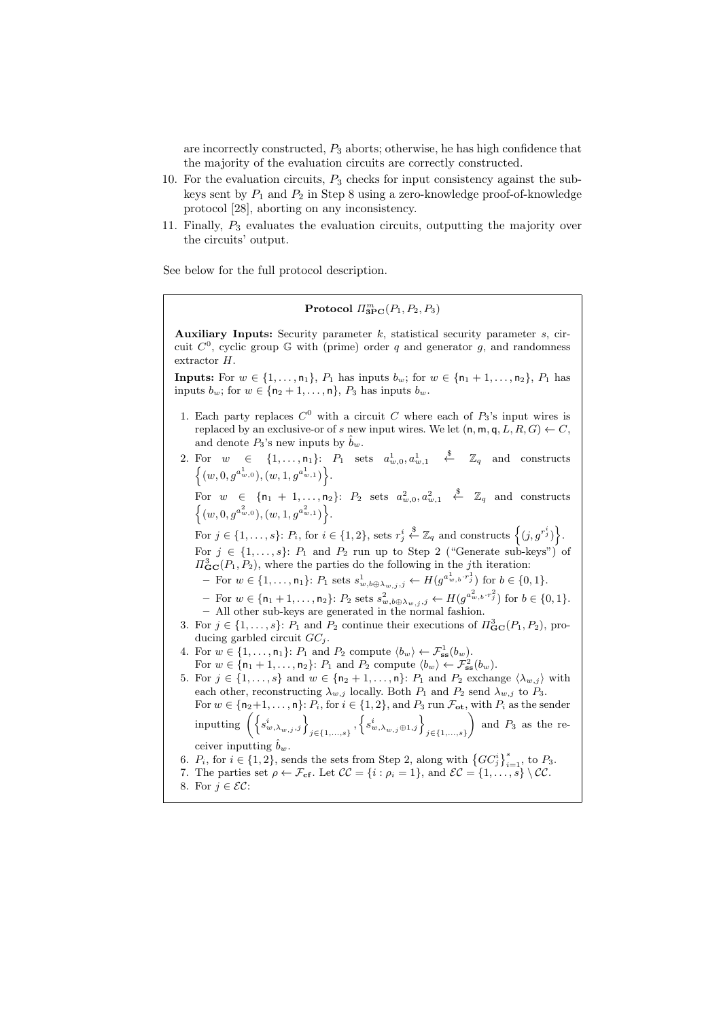are incorrectly constructed,  $P_3$  aborts; otherwise, he has high confidence that the majority of the evaluation circuits are correctly constructed.

- 10. For the evaluation circuits,  $P_3$  checks for input consistency against the subkeys sent by  $P_1$  and  $P_2$  in Step 8 using a zero-knowledge proof-of-knowledge protocol [28], aborting on any inconsistency.
- 11. Finally,  $P_3$  evaluates the evaluation circuits, outputting the majority over the circuits' output.

See below for the full protocol description.

# Protocol  $\Pi^m_{\textbf{3PC}}(P_1, P_2, P_3)$

**Auxiliary Inputs:** Security parameter  $k$ , statistical security parameter  $s$ , circuit  $C^0$ , cyclic group  $\mathbb G$  with (prime) order q and generator g, and randomness extractor H. **Inputs:** For  $w \in \{1, ..., n_1\}$ ,  $P_1$  has inputs  $b_w$ ; for  $w \in \{n_1 + 1, ..., n_2\}$ ,  $P_1$  has inputs  $b_w$ ; for  $w \in \{n_2 + 1, \ldots, n\}$ ,  $P_3$  has inputs  $b_w$ . 1. Each party replaces  $C^0$  with a circuit C where each of  $P_3$ 's input wires is replaced by an exclusive-or of s new input wires. We let  $(n, m, q, L, R, G) \leftarrow C$ , and denote  $P_3$ 's new inputs by  $\hat{b}_w$ . 2. For  $w \in \{1,\ldots,n_1\}$ :  $P_1$  sets  $a^1_{w,0}, a^1_{w,1} \stackrel{\$}{\leftarrow} \mathbb{Z}_q$  and constructs  $\{(w, 0, g^{a_w^{1}(0)}, (w, 1, g^{a_w^{1}(1)})\}.$ For  $w \in \{\mathsf{n}_1 + 1, \ldots, \mathsf{n}_2\}: P_2$  sets  $a^2_{w,0}, a^2_{w,1} \overset{\$}{\leftarrow} \mathbb{Z}_q$  and constructs  $\{(w, 0, g^{a_w^2, 0}), (w, 1, g^{a_w^2, 1})\}.$ For  $j \in \{1, \ldots, s\}$ :  $P_i$ , for  $i \in \{1, 2\}$ , sets  $r_j^i \stackrel{\$}{\leftarrow} \mathbb{Z}_q$  and constructs  $\left\{(j, g^{r_j^i})\right\}$ . For  $j \in \{1, \ldots, s\}$ :  $P_1$  and  $P_2$  run up to Step 2 ("Generate sub-keys") of  $\Pi_{\text{GC}}^3(P_1, P_2)$ , where the parties do the following in the jth iteration:  $-$  For  $w \in \{1, ..., n_1\}$ :  $P_1$  sets  $s^1_{w, b \oplus \lambda_{w,j}, j}$  ←  $H(g^{a^1_{w, b} \cdot r^1_j})$  for  $b \in \{0, 1\}$ .  $-$  For  $w \in \{\mathsf{n}_1 + 1, \ldots, \mathsf{n}_2\}$ :  $P_2$  sets  $s^2_{w,b\oplus\lambda_{w,j},j}$  ←  $H(g^{a^2_{w,b} \cdot r^2_j})$  for  $b \in \{0,1\}$ . – All other sub-keys are generated in the normal fashion. 3. For  $j \in \{1, \ldots, s\}$ :  $P_1$  and  $P_2$  continue their executions of  $\prod_{\mathbf{G} \in \mathbf{C}}^3(P_1, P_2)$ , producing garbled circuit  $GC_j$ . 4. For  $w \in \{1, \ldots, n_1\}$ :  $P_1$  and  $P_2$  compute  $\langle b_w \rangle \leftarrow \mathcal{F}_{ss}^1(b_w)$ . For  $w \in \{\mathsf{n}_1 + 1, \ldots, \mathsf{n}_2\}$ :  $P_1$  and  $P_2$  compute  $\langle b_w \rangle \leftarrow \mathcal{F}_{ss}^2(b_w)$ . 5. For  $j \in \{1, \ldots, s\}$  and  $w \in \{\mathsf{n}_2 + 1, \ldots, \mathsf{n}\}\colon P_1$  and  $P_2$  exchange  $\langle \lambda_{w,j} \rangle$  with each other, reconstructing  $\lambda_{w,j}$  locally. Both  $P_1$  and  $P_2$  send  $\lambda_{w,j}$  to  $P_3$ . For  $w \in \{n_2+1,\ldots,n\}$ :  $P_i$ , for  $i \in \{1,2\}$ , and  $P_3$  run  $\mathcal{F}_{\textbf{ot}}$ , with  $P_i$  as the sender  $\text{inputting } \left( \left\{ s_{w,\lambda_{w,j},j}^{i} \right\}_{j \in \{1,...,s\}}, \left\{ s_{w,\lambda_{w,j} \oplus 1,j}^{i} \right\}_{j \in \{1,...,s\}} \right)$ ) and  $P_3$  as the receiver inputting  $\hat{b}_w$ . 6.  $P_i$ , for  $i \in \{1, 2\}$ , sends the sets from Step 2, along with  $\{GC_j^i\}_{i=1}^s$ , to  $P_3$ . 7. The parties set  $\rho \leftarrow \mathcal{F}_{cf}$ . Let  $\mathcal{CC} = \{i : \rho_i = 1\}$ , and  $\mathcal{EC} = \{1, \ldots, s\} \setminus \mathcal{CC}$ . 8. For  $j \in \mathcal{EC}$ :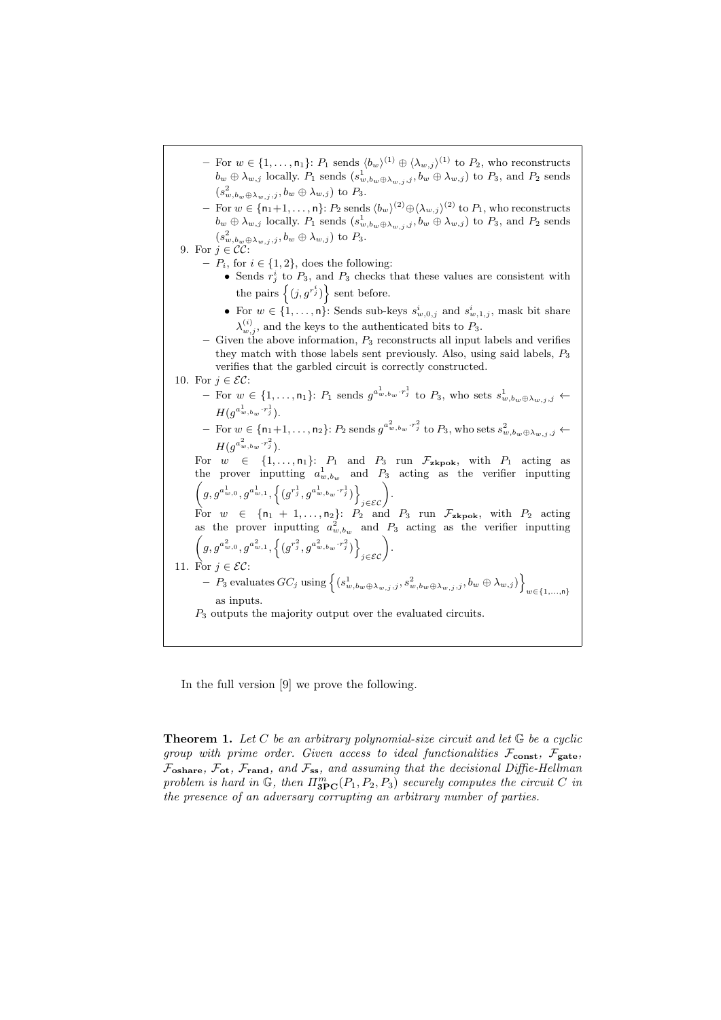- − For  $w \in \{1, ..., n_1\}$ :  $P_1$  sends  $\langle b_w \rangle^{(1)} \oplus \langle \lambda_{w,j} \rangle^{(1)}$  to  $P_2$ , who reconstructs  $b_w \oplus \lambda_{w,j}$  locally.  $P_1$  sends  $(s_{w,b_w \oplus \lambda_{w,j},j}^1, b_w \oplus \lambda_{w,j})$  to  $P_3$ , and  $P_2$  sends  $(s_w^2, b_w \oplus \lambda_{w,j}, j, b_w \oplus \lambda_{w,j})$  to  $P_3$ .  $-$  For  $w \in \{n_1+1,\ldots,n\}$ :  $P_2$  sends  $\langle b_w \rangle^{(2)} \oplus \langle \lambda_{w,j} \rangle^{(2)}$  to  $P_1$ , who reconstructs  $b_w \oplus \lambda_{w,j}$  locally.  $P_1$  sends  $(s_{w,b_w \oplus \lambda_{w,j},j}^1, b_w \oplus \lambda_{w,j})$  to  $P_3$ , and  $P_2$  sends  $(s_w^2, b_w \oplus \lambda_{w,j}, j, b_w \oplus \lambda_{w,j})$  to  $P_3$ . 9. For  $j \in \mathcal{CC}$ :  $-P_i$ , for  $i \in \{1,2\}$ , does the following: • Sends  $r_j^i$  to  $P_3$ , and  $P_3$  checks that these values are consistent with the pairs  $\{(j, g^{r_j^i})\}$  sent before. • For  $w \in \{1, \ldots, n\}$ : Sends sub-keys  $s_w^i_{w, 0, j}$  and  $s_w^i_{w, 1, j}$ , mask bit share  $\lambda_{w,j}^{(i)}$ , and the keys to the authenticated bits to  $P_3$ . – Given the above information,  $P_3$  reconstructs all input labels and verifies they match with those labels sent previously. Also, using said labels,  $P_3$ verifies that the garbled circuit is correctly constructed. 10. For  $j \in \mathcal{EC}$ :  $-$  For  $w \in \{1, \ldots, n_1\}$ :  $P_1$  sends  $g^{a_w^1, b_w \cdot r_j^1}$  to  $P_3$ , who sets  $s_w^1, b_w \oplus \lambda_{w,j}, j$  ←  $H(g^{a^1_{w,b_w}\cdot r^1_j}).$  $-$  For  $w \in \{\mathsf{n}_1+1,\ldots,\mathsf{n}_2\}$ :  $P_2$  sends  $g^{a_w^2, b_w \cdot r_j^2}$  to  $P_3$ , who sets  $s_w^2, b_w \oplus \lambda_{w,j}, j \leftarrow$  $H(g^{a^2_{w,b_w}\cdot r^2_j}).$ For  $w \in \{1, \ldots, n_1\}$ :  $P_1$  and  $P_3$  run  $\mathcal{F}_{\mathbf{zkpok}}$ , with  $P_1$  acting as the prover inputting  $a_{w,b_w}^1$  and  $P_3$  acting as the verifier inputting  $\left(g, g^{a^1_{w,0}}, g^{a^1_{w,1}}, \left\{(g^{r^1_j}, g^{a^1_{w,b_w}\cdot r^1_j})\right\}_{j\in\mathcal{EC}}\right).$ For  $w \in \{\mathsf{n}_1 + 1, \ldots, \mathsf{n}_2\}$ :  $P_2$  and  $P_3$  run  $\mathcal{F}_{\mathbf{zkpok}}$ , with  $P_2$  acting as the prover inputting  $a_{w,b_w}^2$  and  $P_3$  acting as the verifier inputting  $\left(g, g^{a^2_{w,0}}, g^{a^2_{w,1}}, \left\{(g^{r^2_j}, g^{a^2_{w,b_w}\cdot r^2_j})\right\}_{j\in\mathcal{EC}}\right).$ 11. For  $j \in \mathcal{EC}$ :  $- \,\, P_3 \text{ evaluates } GC_j \text{ using } \Big\{ (s^1_{w,b_w \oplus \lambda_{w,j},j}, s^2_{w,b_w \oplus \lambda_{w,j},j}, b_w \oplus \lambda_{w,j}) \Big\}$  $w \in \{1,\ldots,n\}$ as inputs.
	- P<sup>3</sup> outputs the majority output over the evaluated circuits.

In the full version [9] we prove the following.

**Theorem 1.** Let C be an arbitrary polynomial-size circuit and let  $\mathbb{G}$  be a cyclic group with prime order. Given access to ideal functionalities  $\mathcal{F}_{\text{const}}$ ,  $\mathcal{F}_{\text{gate}}$ ,  $\mathcal{F}_{\text{oshare}}, \mathcal{F}_{\text{ot}}, \mathcal{F}_{\text{rand}},$  and  $\mathcal{F}_{\text{ss}},$  and assuming that the decisional Diffie-Hellman problem is hard in  $\mathbb{G}$ , then  $\overline{H_{\rm 3PC}^m(P_1,P_2,P_3)}$  securely computes the circuit C in the presence of an adversary corrupting an arbitrary number of parties.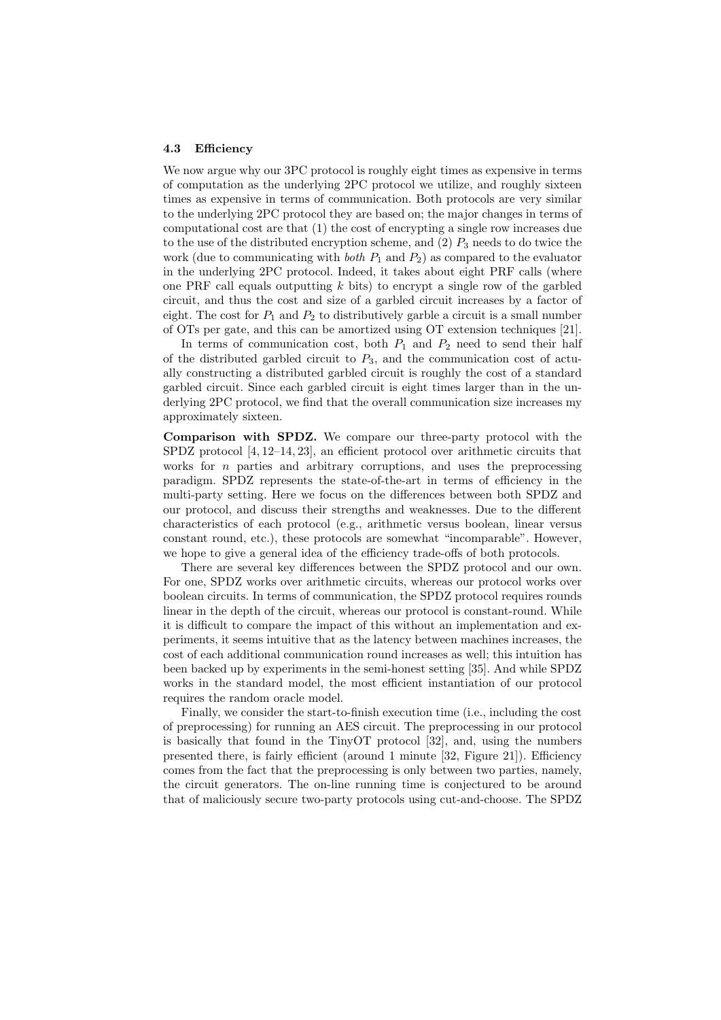#### 4.3 Efficiency

We now argue why our 3PC protocol is roughly eight times as expensive in terms of computation as the underlying 2PC protocol we utilize, and roughly sixteen times as expensive in terms of communication. Both protocols are very similar to the underlying 2PC protocol they are based on; the major changes in terms of computational cost are that (1) the cost of encrypting a single row increases due to the use of the distributed encryption scheme, and  $(2)$   $P_3$  needs to do twice the work (due to communicating with *both*  $P_1$  and  $P_2$ ) as compared to the evaluator in the underlying 2PC protocol. Indeed, it takes about eight PRF calls (where one PRF call equals outputting  $k$  bits) to encrypt a single row of the garbled circuit, and thus the cost and size of a garbled circuit increases by a factor of eight. The cost for  $P_1$  and  $P_2$  to distributively garble a circuit is a small number of OTs per gate, and this can be amortized using OT extension techniques [21].

In terms of communication cost, both  $P_1$  and  $P_2$  need to send their half of the distributed garbled circuit to  $P_3$ , and the communication cost of actually constructing a distributed garbled circuit is roughly the cost of a standard garbled circuit. Since each garbled circuit is eight times larger than in the underlying 2PC protocol, we find that the overall communication size increases my approximately sixteen.

Comparison with SPDZ. We compare our three-party protocol with the SPDZ protocol [4, 12–14, 23], an efficient protocol over arithmetic circuits that works for n parties and arbitrary corruptions, and uses the preprocessing paradigm. SPDZ represents the state-of-the-art in terms of efficiency in the multi-party setting. Here we focus on the differences between both SPDZ and our protocol, and discuss their strengths and weaknesses. Due to the different characteristics of each protocol (e.g., arithmetic versus boolean, linear versus constant round, etc.), these protocols are somewhat "incomparable". However, we hope to give a general idea of the efficiency trade-offs of both protocols.

There are several key differences between the SPDZ protocol and our own. For one, SPDZ works over arithmetic circuits, whereas our protocol works over boolean circuits. In terms of communication, the SPDZ protocol requires rounds linear in the depth of the circuit, whereas our protocol is constant-round. While it is difficult to compare the impact of this without an implementation and experiments, it seems intuitive that as the latency between machines increases, the cost of each additional communication round increases as well; this intuition has been backed up by experiments in the semi-honest setting [35]. And while SPDZ works in the standard model, the most efficient instantiation of our protocol requires the random oracle model.

Finally, we consider the start-to-finish execution time (i.e., including the cost of preprocessing) for running an AES circuit. The preprocessing in our protocol is basically that found in the TinyOT protocol [32], and, using the numbers presented there, is fairly efficient (around 1 minute [32, Figure 21]). Efficiency comes from the fact that the preprocessing is only between two parties, namely, the circuit generators. The on-line running time is conjectured to be around that of maliciously secure two-party protocols using cut-and-choose. The SPDZ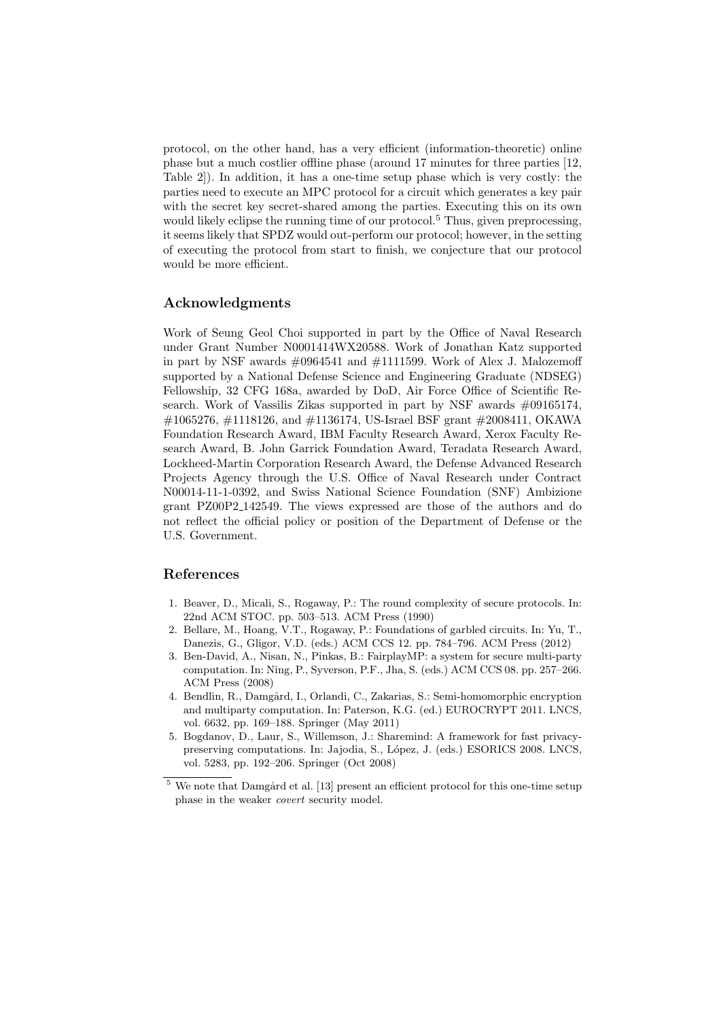protocol, on the other hand, has a very efficient (information-theoretic) online phase but a much costlier offline phase (around 17 minutes for three parties [12, Table 2]). In addition, it has a one-time setup phase which is very costly: the parties need to execute an MPC protocol for a circuit which generates a key pair with the secret key secret-shared among the parties. Executing this on its own would likely eclipse the running time of our protocol.<sup>5</sup> Thus, given preprocessing, it seems likely that SPDZ would out-perform our protocol; however, in the setting of executing the protocol from start to finish, we conjecture that our protocol would be more efficient.

# Acknowledgments

Work of Seung Geol Choi supported in part by the Office of Naval Research under Grant Number N0001414WX20588. Work of Jonathan Katz supported in part by NSF awards #0964541 and #1111599. Work of Alex J. Malozemoff supported by a National Defense Science and Engineering Graduate (NDSEG) Fellowship, 32 CFG 168a, awarded by DoD, Air Force Office of Scientific Research. Work of Vassilis Zikas supported in part by NSF awards #09165174, #1065276, #1118126, and #1136174, US-Israel BSF grant #2008411, OKAWA Foundation Research Award, IBM Faculty Research Award, Xerox Faculty Research Award, B. John Garrick Foundation Award, Teradata Research Award, Lockheed-Martin Corporation Research Award, the Defense Advanced Research Projects Agency through the U.S. Office of Naval Research under Contract N00014-11-1-0392, and Swiss National Science Foundation (SNF) Ambizione grant PZ00P2 142549. The views expressed are those of the authors and do not reflect the official policy or position of the Department of Defense or the U.S. Government.

# References

- 1. Beaver, D., Micali, S., Rogaway, P.: The round complexity of secure protocols. In: 22nd ACM STOC. pp. 503–513. ACM Press (1990)
- 2. Bellare, M., Hoang, V.T., Rogaway, P.: Foundations of garbled circuits. In: Yu, T., Danezis, G., Gligor, V.D. (eds.) ACM CCS 12. pp. 784–796. ACM Press (2012)
- 3. Ben-David, A., Nisan, N., Pinkas, B.: FairplayMP: a system for secure multi-party computation. In: Ning, P., Syverson, P.F., Jha, S. (eds.) ACM CCS 08. pp. 257–266. ACM Press (2008)
- 4. Bendlin, R., Damgård, I., Orlandi, C., Zakarias, S.: Semi-homomorphic encryption and multiparty computation. In: Paterson, K.G. (ed.) EUROCRYPT 2011. LNCS, vol. 6632, pp. 169–188. Springer (May 2011)
- 5. Bogdanov, D., Laur, S., Willemson, J.: Sharemind: A framework for fast privacypreserving computations. In: Jajodia, S., López, J. (eds.) ESORICS 2008. LNCS, vol. 5283, pp. 192–206. Springer (Oct 2008)

 $^5\,$  We note that Damgård et al. [13] present an efficient protocol for this one-time setup phase in the weaker covert security model.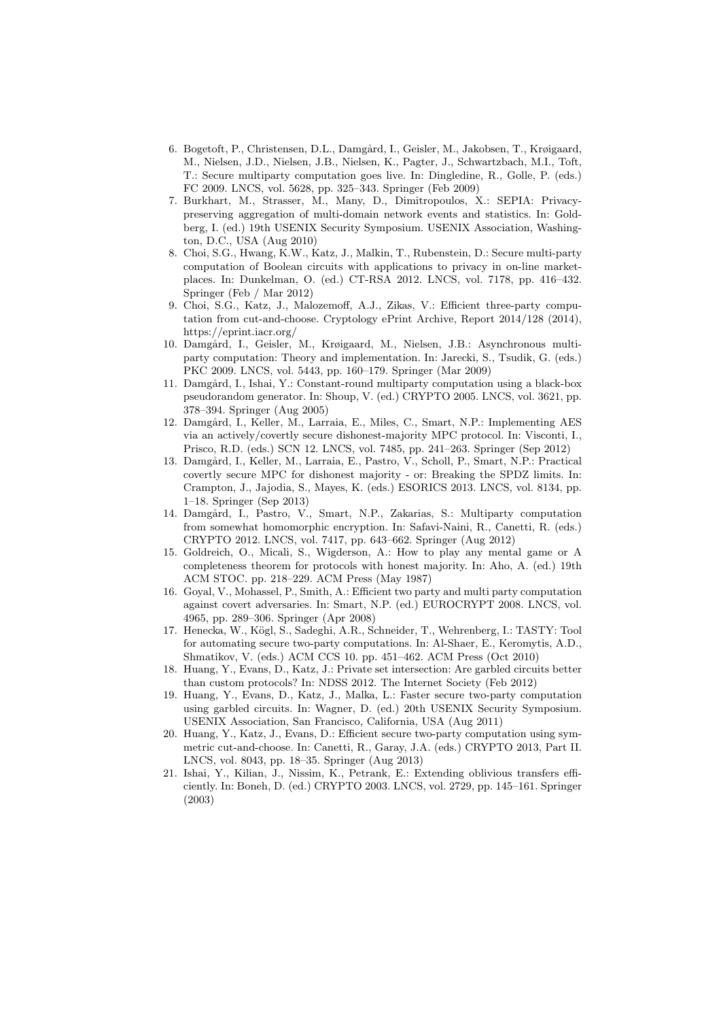- 6. Bogetoft, P., Christensen, D.L., Damgård, I., Geisler, M., Jakobsen, T., Krøigaard, M., Nielsen, J.D., Nielsen, J.B., Nielsen, K., Pagter, J., Schwartzbach, M.I., Toft, T.: Secure multiparty computation goes live. In: Dingledine, R., Golle, P. (eds.) FC 2009. LNCS, vol. 5628, pp. 325–343. Springer (Feb 2009)
- 7. Burkhart, M., Strasser, M., Many, D., Dimitropoulos, X.: SEPIA: Privacypreserving aggregation of multi-domain network events and statistics. In: Goldberg, I. (ed.) 19th USENIX Security Symposium. USENIX Association, Washington, D.C., USA (Aug 2010)
- 8. Choi, S.G., Hwang, K.W., Katz, J., Malkin, T., Rubenstein, D.: Secure multi-party computation of Boolean circuits with applications to privacy in on-line marketplaces. In: Dunkelman, O. (ed.) CT-RSA 2012. LNCS, vol. 7178, pp. 416–432. Springer (Feb / Mar 2012)
- 9. Choi, S.G., Katz, J., Malozemoff, A.J., Zikas, V.: Efficient three-party computation from cut-and-choose. Cryptology ePrint Archive, Report 2014/128 (2014), https://eprint.iacr.org/
- 10. Damgård, I., Geisler, M., Krøigaard, M., Nielsen, J.B.: Asynchronous multiparty computation: Theory and implementation. In: Jarecki, S., Tsudik, G. (eds.) PKC 2009. LNCS, vol. 5443, pp. 160–179. Springer (Mar 2009)
- 11. Damgård, I., Ishai, Y.: Constant-round multiparty computation using a black-box pseudorandom generator. In: Shoup, V. (ed.) CRYPTO 2005. LNCS, vol. 3621, pp. 378–394. Springer (Aug 2005)
- 12. Damgård, I., Keller, M., Larraia, E., Miles, C., Smart, N.P.: Implementing AES via an actively/covertly secure dishonest-majority MPC protocol. In: Visconti, I., Prisco, R.D. (eds.) SCN 12. LNCS, vol. 7485, pp. 241–263. Springer (Sep 2012)
- 13. Damgård, I., Keller, M., Larraia, E., Pastro, V., Scholl, P., Smart, N.P.: Practical covertly secure MPC for dishonest majority - or: Breaking the SPDZ limits. In: Crampton, J., Jajodia, S., Mayes, K. (eds.) ESORICS 2013. LNCS, vol. 8134, pp. 1–18. Springer (Sep 2013)
- 14. Damgård, I., Pastro, V., Smart, N.P., Zakarias, S.: Multiparty computation from somewhat homomorphic encryption. In: Safavi-Naini, R., Canetti, R. (eds.) CRYPTO 2012. LNCS, vol. 7417, pp. 643–662. Springer (Aug 2012)
- 15. Goldreich, O., Micali, S., Wigderson, A.: How to play any mental game or A completeness theorem for protocols with honest majority. In: Aho, A. (ed.) 19th ACM STOC. pp. 218–229. ACM Press (May 1987)
- 16. Goyal, V., Mohassel, P., Smith, A.: Efficient two party and multi party computation against covert adversaries. In: Smart, N.P. (ed.) EUROCRYPT 2008. LNCS, vol. 4965, pp. 289–306. Springer (Apr 2008)
- 17. Henecka, W., Kögl, S., Sadeghi, A.R., Schneider, T., Wehrenberg, I.: TASTY: Tool for automating secure two-party computations. In: Al-Shaer, E., Keromytis, A.D., Shmatikov, V. (eds.) ACM CCS 10. pp. 451–462. ACM Press (Oct 2010)
- 18. Huang, Y., Evans, D., Katz, J.: Private set intersection: Are garbled circuits better than custom protocols? In: NDSS 2012. The Internet Society (Feb 2012)
- 19. Huang, Y., Evans, D., Katz, J., Malka, L.: Faster secure two-party computation using garbled circuits. In: Wagner, D. (ed.) 20th USENIX Security Symposium. USENIX Association, San Francisco, California, USA (Aug 2011)
- 20. Huang, Y., Katz, J., Evans, D.: Efficient secure two-party computation using symmetric cut-and-choose. In: Canetti, R., Garay, J.A. (eds.) CRYPTO 2013, Part II. LNCS, vol. 8043, pp. 18–35. Springer (Aug 2013)
- 21. Ishai, Y., Kilian, J., Nissim, K., Petrank, E.: Extending oblivious transfers efficiently. In: Boneh, D. (ed.) CRYPTO 2003. LNCS, vol. 2729, pp. 145–161. Springer (2003)